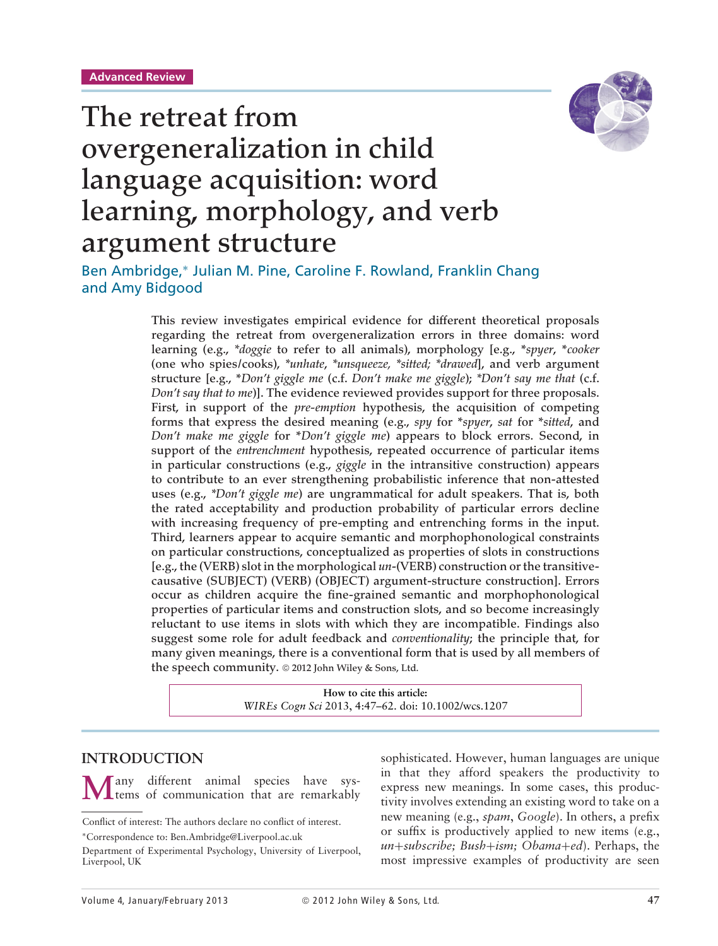

# **The retreat from overgeneralization in child language acquisition: word learning, morphology, and verb argument structure**

Ben Ambridge,∗ Julian M. Pine, Caroline F. Rowland, Franklin Chang and Amy Bidgood

> **This review investigates empirical evidence for different theoretical proposals regarding the retreat from overgeneralization errors in three domains: word learning (e.g.,** *\*doggie* **to refer to all animals), morphology [e.g., \****spyer***, \****cooker* **(one who spies/cooks),** *\*unhate***,** *\*unsqueeze, \*sitted; \*drawed***], and verb argument structure [e.g., \****Don't giggle me* **(c.f.** *Don't make me giggle***);** *\*Don't say me that* **(c.f.** *Don't say that to me***)]. The evidence reviewed provides support for three proposals. First, in support of the** *pre-emption* **hypothesis, the acquisition of competing forms that express the desired meaning (e.g.,** *spy* **for \****spyer***,** *sat* **for \****sitted***, and** *Don't make me giggle* **for \****Don't giggle me***) appears to block errors. Second, in support of the** *entrenchment* **hypothesis, repeated occurrence of particular items in particular constructions (e.g.,** *giggle* **in the intransitive construction) appears to contribute to an ever strengthening probabilistic inference that non-attested uses (e.g.,** *\*Don't giggle me***) are ungrammatical for adult speakers. That is, both the rated acceptability and production probability of particular errors decline with increasing frequency of pre-empting and entrenching forms in the input. Third, learners appear to acquire semantic and morphophonological constraints on particular constructions, conceptualized as properties of slots in constructions [e.g., the (VERB) slot in the morphological** *un***-(VERB) construction or the transitivecausative (SUBJECT) (VERB) (OBJECT) argument-structure construction]. Errors occur as children acquire the fine-grained semantic and morphophonological properties of particular items and construction slots, and so become increasingly reluctant to use items in slots with which they are incompatible. Findings also suggest some role for adult feedback and** *conventionality***; the principle that, for many given meanings, there is a conventional form that is used by all members of the speech community.** © **2012 John Wiley & Sons, Ltd.**

> > **How to cite this article:** *WIREs Cogn Sci* 2013, 4:47–62. doi: 10.1002/wcs.1207

#### **INTRODUCTION**

any different animal species have systems of communication that are remarkably sophisticated. However, human languages are unique in that they afford speakers the productivity to express new meanings. In some cases, this productivity involves extending an existing word to take on a new meaning (e.g., *spam*, *Google*). In others, a prefix or suffix is productively applied to new items (e.g., *un*+*subscribe; Bush*+*ism; Obama*+*ed*). Perhaps, the most impressive examples of productivity are seen

Conflict of interest: The authors declare no conflict of interest.

<sup>∗</sup>Correspondence to: Ben.Ambridge@Liverpool.ac.uk

Department of Experimental Psychology, University of Liverpool, Liverpool, UK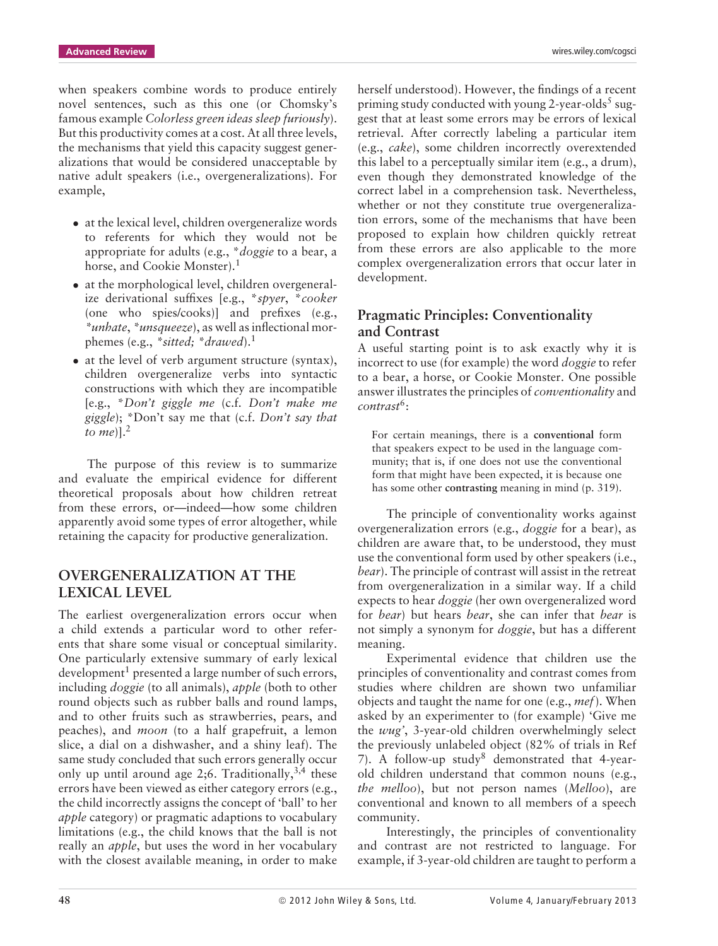when speakers combine words to produce entirely novel sentences, such as this one (or Chomsky's famous example *Colorless green ideas sleep furiously*). But this productivity comes at a cost. At all three levels, the mechanisms that yield this capacity suggest generalizations that would be considered unacceptable by native adult speakers (i.e., overgeneralizations). For example,

- at the lexical level, children overgeneralize words to referents for which they would not be appropriate for adults (e.g., \**doggie* to a bear, a horse, and Cookie Monster).<sup>1</sup>
- at the morphological level, children overgeneralize derivational suffixes [e.g., \**spyer*, \**cooker* (one who spies/cooks)] and prefixes (e.g., *\*unhate*, *\*unsqueeze*), as well as inflectional morphemes (e.g., *\*sitted; \*drawed*).1
- at the level of verb argument structure (syntax), children overgeneralize verbs into syntactic constructions with which they are incompatible [e.g., \**Don't giggle me* (c.f. *Don't make me giggle*); \*Don't say me that (c.f. *Don't say that to me*)].<sup>2</sup>

The purpose of this review is to summarize and evaluate the empirical evidence for different theoretical proposals about how children retreat from these errors, or—indeed—how some children apparently avoid some types of error altogether, while retaining the capacity for productive generalization.

## **OVERGENERALIZATION AT THE LEXICAL LEVEL**

The earliest overgeneralization errors occur when a child extends a particular word to other referents that share some visual or conceptual similarity. One particularly extensive summary of early lexical  $development<sup>1</sup> presented a large number of such errors,$ including *doggie* (to all animals), *apple* (both to other round objects such as rubber balls and round lamps, and to other fruits such as strawberries, pears, and peaches), and *moon* (to a half grapefruit, a lemon slice, a dial on a dishwasher, and a shiny leaf). The same study concluded that such errors generally occur only up until around age 2;6. Traditionally,  $3,4$  these errors have been viewed as either category errors (e.g., the child incorrectly assigns the concept of 'ball' to her *apple* category) or pragmatic adaptions to vocabulary limitations (e.g., the child knows that the ball is not really an *apple*, but uses the word in her vocabulary with the closest available meaning, in order to make

herself understood). However, the findings of a recent priming study conducted with young 2-year-olds<sup>5</sup> suggest that at least some errors may be errors of lexical retrieval. After correctly labeling a particular item (e.g., *cake*), some children incorrectly overextended this label to a perceptually similar item (e.g., a drum), even though they demonstrated knowledge of the correct label in a comprehension task. Nevertheless, whether or not they constitute true overgeneralization errors, some of the mechanisms that have been proposed to explain how children quickly retreat from these errors are also applicable to the more complex overgeneralization errors that occur later in development.

## **Pragmatic Principles: Conventionality and Contrast**

A useful starting point is to ask exactly why it is incorrect to use (for example) the word *doggie* to refer to a bear, a horse, or Cookie Monster. One possible answer illustrates the principles of *conventionality* and *contrast*6:

For certain meanings, there is a **conventional** form that speakers expect to be used in the language community; that is, if one does not use the conventional form that might have been expected, it is because one has some other **contrasting** meaning in mind (p. 319).

The principle of conventionality works against overgeneralization errors (e.g., *doggie* for a bear), as children are aware that, to be understood, they must use the conventional form used by other speakers (i.e., *bear*). The principle of contrast will assist in the retreat from overgeneralization in a similar way. If a child expects to hear *doggie* (her own overgeneralized word for *bear*) but hears *bear*, she can infer that *bear* is not simply a synonym for *doggie*, but has a different meaning.

Experimental evidence that children use the principles of conventionality and contrast comes from studies where children are shown two unfamiliar objects and taught the name for one (e.g., *mef*). When asked by an experimenter to (for example) 'Give me the *wug'*, 3-year-old children overwhelmingly select the previously unlabeled object (82% of trials in Ref 7). A follow-up study<sup>8</sup> demonstrated that 4-yearold children understand that common nouns (e.g., *the melloo*), but not person names (*Melloo*), are conventional and known to all members of a speech community.

Interestingly, the principles of conventionality and contrast are not restricted to language. For example, if 3-year-old children are taught to perform a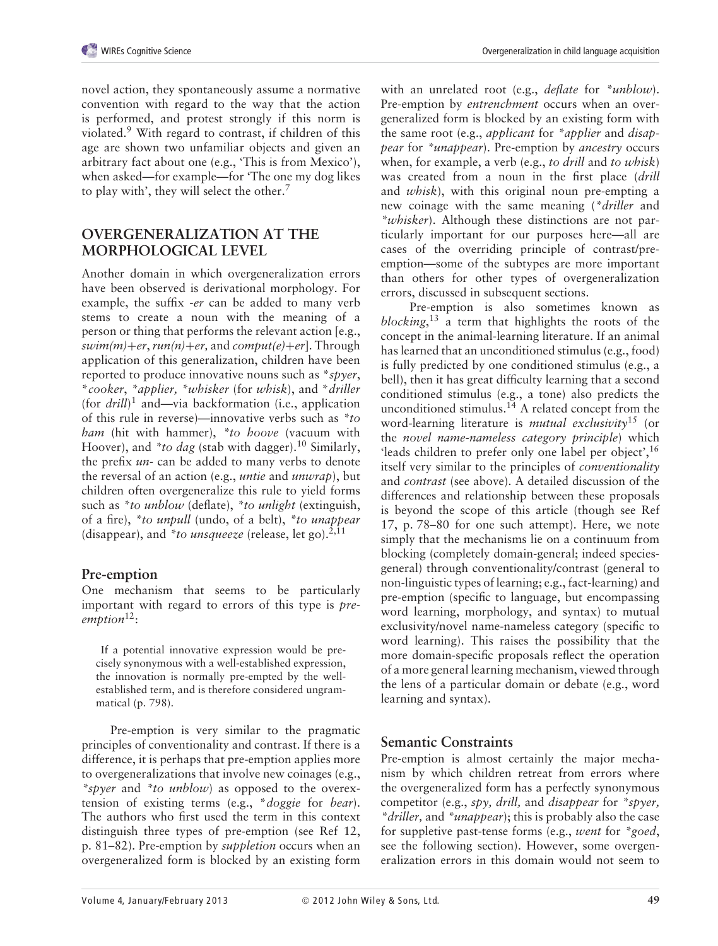novel action, they spontaneously assume a normative convention with regard to the way that the action is performed, and protest strongly if this norm is violated.<sup>9</sup> With regard to contrast, if children of this age are shown two unfamiliar objects and given an arbitrary fact about one (e.g., 'This is from Mexico'), when asked—for example—for 'The one my dog likes to play with', they will select the other.<sup>7</sup>

## **OVERGENERALIZATION AT THE MORPHOLOGICAL LEVEL**

Another domain in which overgeneralization errors have been observed is derivational morphology. For example, the suffix -*er* can be added to many verb stems to create a noun with the meaning of a person or thing that performs the relevant action [e.g., *swim(m)*+*er*,*run(n)*+*er,* and *comput(e)*+*er*]. Through application of this generalization, children have been reported to produce innovative nouns such as \**spyer*, \**cooker*, *\*applier, \*whisker* (for *whisk*), and \**driller* (for *drill*) <sup>1</sup> and—via backformation (i.e., application of this rule in reverse)—innovative verbs such as *\*to ham* (hit with hammer), *\*to hoove* (vacuum with Hoover), and *\*to dag* (stab with dagger).<sup>10</sup> Similarly, the prefix *un*- can be added to many verbs to denote the reversal of an action (e.g., *untie* and *unwrap*), but children often overgeneralize this rule to yield forms such as *\*to unblow* (deflate), *\*to unlight* (extinguish, of a fire), *\*to unpull* (undo, of a belt), *\*to unappear* (disappear), and *\*to unsqueeze* (release, let go).<sup>2,11</sup>

# **Pre-emption**

One mechanism that seems to be particularly important with regard to errors of this type is *preemption*12:

If a potential innovative expression would be precisely synonymous with a well-established expression, the innovation is normally pre-empted by the wellestablished term, and is therefore considered ungrammatical (p. 798).

Pre-emption is very similar to the pragmatic principles of conventionality and contrast. If there is a difference, it is perhaps that pre-emption applies more to overgeneralizations that involve new coinages (e.g., *\*spyer* and *\*to unblow*) as opposed to the overextension of existing terms (e.g., \**doggie* for *bear*). The authors who first used the term in this context distinguish three types of pre-emption (see Ref 12, p. 81–82). Pre-emption by *suppletion* occurs when an overgeneralized form is blocked by an existing form with an unrelated root (e.g., *deflate* for *\*unblow*). Pre-emption by *entrenchment* occurs when an overgeneralized form is blocked by an existing form with the same root (e.g., *applicant* for *\*applier* and *disappear* for *\*unappear*). Pre-emption by *ancestry* occurs when, for example, a verb (e.g., *to drill* and *to whisk*) was created from a noun in the first place (*drill* and *whisk*), with this original noun pre-empting a new coinage with the same meaning (*\*driller* and *\*whisker*). Although these distinctions are not particularly important for our purposes here—all are cases of the overriding principle of contrast/preemption—some of the subtypes are more important than others for other types of overgeneralization errors, discussed in subsequent sections.

Pre-emption is also sometimes known as *blocking*, <sup>13</sup> a term that highlights the roots of the concept in the animal-learning literature. If an animal has learned that an unconditioned stimulus (e.g., food) is fully predicted by one conditioned stimulus (e.g., a bell), then it has great difficulty learning that a second conditioned stimulus (e.g., a tone) also predicts the unconditioned stimulus.14 A related concept from the word-learning literature is *mutual exclusivity*<sup>15</sup> (or the *novel name-nameless category principle*) which 'leads children to prefer only one label per object',<sup>16</sup> itself very similar to the principles of *conventionality* and *contrast* (see above). A detailed discussion of the differences and relationship between these proposals is beyond the scope of this article (though see Ref 17, p. 78–80 for one such attempt). Here, we note simply that the mechanisms lie on a continuum from blocking (completely domain-general; indeed speciesgeneral) through conventionality/contrast (general to non-linguistic types of learning; e.g., fact-learning) and pre-emption (specific to language, but encompassing word learning, morphology, and syntax) to mutual exclusivity/novel name-nameless category (specific to word learning). This raises the possibility that the more domain-specific proposals reflect the operation of a more general learning mechanism, viewed through the lens of a particular domain or debate (e.g., word learning and syntax).

# **Semantic Constraints**

Pre-emption is almost certainly the major mechanism by which children retreat from errors where the overgeneralized form has a perfectly synonymous competitor (e.g., *spy, drill,* and *disappear* for *\*spyer, \*driller,* and *\*unappear*); this is probably also the case for suppletive past-tense forms (e.g., *went* for *\*goed*, see the following section). However, some overgeneralization errors in this domain would not seem to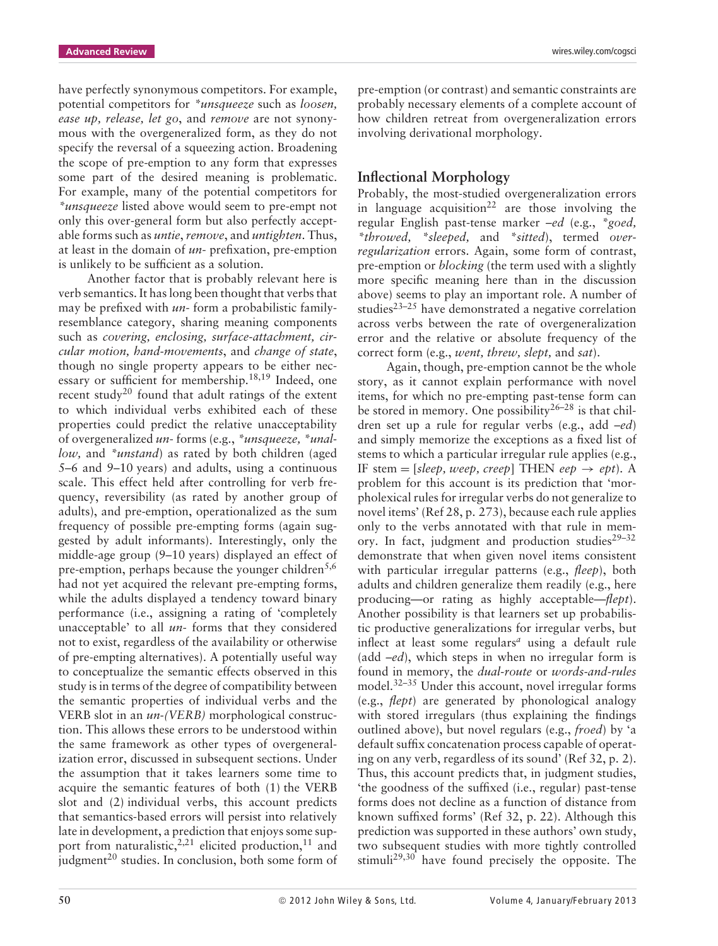have perfectly synonymous competitors. For example, potential competitors for *\*unsqueeze* such as *loosen, ease up, release, let go*, and *remove* are not synonymous with the overgeneralized form, as they do not specify the reversal of a squeezing action. Broadening the scope of pre-emption to any form that expresses some part of the desired meaning is problematic. For example, many of the potential competitors for *\*unsqueeze* listed above would seem to pre-empt not only this over-general form but also perfectly acceptable forms such as *untie*, *remove*, and *untighten*. Thus, at least in the domain of *un*- prefixation, pre-emption is unlikely to be sufficient as a solution.

Another factor that is probably relevant here is verb semantics. It has long been thought that verbs that may be prefixed with *un*- form a probabilistic familyresemblance category, sharing meaning components such as *covering, enclosing, surface-attachment, circular motion, hand-movements*, and *change of state*, though no single property appears to be either necessary or sufficient for membership.18,19 Indeed, one recent study<sup>20</sup> found that adult ratings of the extent to which individual verbs exhibited each of these properties could predict the relative unacceptability of overgeneralized *un*- forms (e.g., *\*unsqueeze, \*unallow,* and *\*unstand*) as rated by both children (aged 5–6 and 9–10 years) and adults, using a continuous scale. This effect held after controlling for verb frequency, reversibility (as rated by another group of adults), and pre-emption, operationalized as the sum frequency of possible pre-empting forms (again suggested by adult informants). Interestingly, only the middle-age group (9–10 years) displayed an effect of pre-emption, perhaps because the younger children $5,6$ had not yet acquired the relevant pre-empting forms, while the adults displayed a tendency toward binary performance (i.e., assigning a rating of 'completely unacceptable' to all *un*- forms that they considered not to exist, regardless of the availability or otherwise of pre-empting alternatives). A potentially useful way to conceptualize the semantic effects observed in this study is in terms of the degree of compatibility between the semantic properties of individual verbs and the VERB slot in an *un-(VERB)* morphological construction. This allows these errors to be understood within the same framework as other types of overgeneralization error, discussed in subsequent sections. Under the assumption that it takes learners some time to acquire the semantic features of both (1) the VERB slot and (2) individual verbs, this account predicts that semantics-based errors will persist into relatively late in development, a prediction that enjoys some support from naturalistic,<sup>2,21</sup> elicited production,<sup>11</sup> and judgment<sup>20</sup> studies. In conclusion, both some form of

pre-emption (or contrast) and semantic constraints are probably necessary elements of a complete account of how children retreat from overgeneralization errors involving derivational morphology.

#### **Inflectional Morphology**

Probably, the most-studied overgeneralization errors in language acquisition<sup>22</sup> are those involving the regular English past-tense marker *–ed* (e.g., *\*goed, \*throwed, \*sleeped,* and *\*sitted*), termed *overregularization* errors. Again, some form of contrast, pre-emption or *blocking* (the term used with a slightly more specific meaning here than in the discussion above) seems to play an important role. A number of studies<sup>23–25</sup> have demonstrated a negative correlation across verbs between the rate of overgeneralization error and the relative or absolute frequency of the correct form (e.g., *went, threw, slept,* and *sat*).

Again, though, pre-emption cannot be the whole story, as it cannot explain performance with novel items, for which no pre-empting past-tense form can be stored in memory. One possibility<sup>26–28</sup> is that children set up a rule for regular verbs (e.g., add *–ed*) and simply memorize the exceptions as a fixed list of stems to which a particular irregular rule applies (e.g., IF stem  $=$  [*sleep, weep, creep*] THEN *eep*  $\rightarrow$  *ept*). A problem for this account is its prediction that 'morpholexical rules for irregular verbs do not generalize to novel items' (Ref 28, p. 273), because each rule applies only to the verbs annotated with that rule in memory. In fact, judgment and production studies<sup>29-32</sup> demonstrate that when given novel items consistent with particular irregular patterns (e.g., *fleep*), both adults and children generalize them readily (e.g., here producing—or rating as highly acceptable—*flept*). Another possibility is that learners set up probabilistic productive generalizations for irregular verbs, but inflect at least some regulars*<sup>a</sup>* using a default rule (add *–ed*), which steps in when no irregular form is found in memory, the *dual-route* or *words-and-rules* model.32–35 Under this account, novel irregular forms (e.g., *flept*) are generated by phonological analogy with stored irregulars (thus explaining the findings outlined above), but novel regulars (e.g., *froed*) by 'a default suffix concatenation process capable of operating on any verb, regardless of its sound' (Ref 32, p. 2). Thus, this account predicts that, in judgment studies, 'the goodness of the suffixed (i.e., regular) past-tense forms does not decline as a function of distance from known suffixed forms' (Ref 32, p. 22). Although this prediction was supported in these authors' own study, two subsequent studies with more tightly controlled stimuli<sup>29,30</sup> have found precisely the opposite. The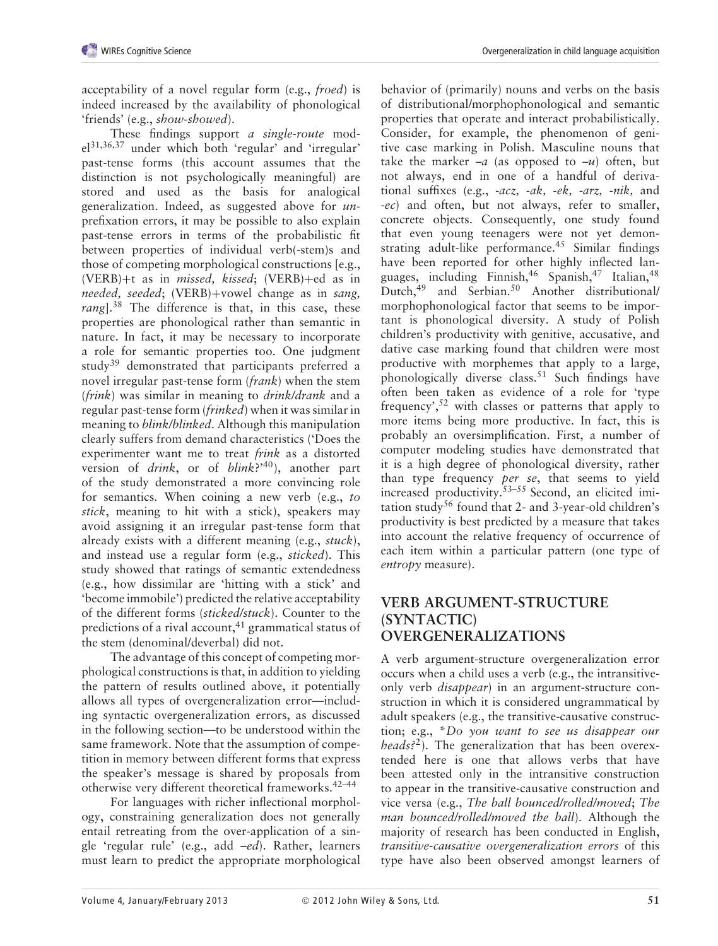acceptability of a novel regular form (e.g., *froed*) is indeed increased by the availability of phonological 'friends' (e.g., *show-showed*).

These findings support *a single-route* model31,36,37 under which both 'regular' and 'irregular' past-tense forms (this account assumes that the distinction is not psychologically meaningful) are stored and used as the basis for analogical generalization. Indeed, as suggested above for *un*prefixation errors, it may be possible to also explain past-tense errors in terms of the probabilistic fit between properties of individual verb(-stem)s and those of competing morphological constructions [e.g., (VERB)+t as in *missed, kissed*; (VERB)+ed as in *needed, seeded*; (VERB)+vowel change as in *sang, rang*].38 The difference is that, in this case, these properties are phonological rather than semantic in nature. In fact, it may be necessary to incorporate a role for semantic properties too. One judgment study<sup>39</sup> demonstrated that participants preferred a novel irregular past-tense form (*frank*) when the stem (*frink*) was similar in meaning to *drink/drank* and a regular past-tense form (*frinked*) when it was similar in meaning to *blink/blinked*. Although this manipulation clearly suffers from demand characteristics ('Does the experimenter want me to treat *frink* as a distorted version of *drink*, or of *blink*?'40), another part of the study demonstrated a more convincing role for semantics. When coining a new verb (e.g., *to stick*, meaning to hit with a stick), speakers may avoid assigning it an irregular past-tense form that already exists with a different meaning (e.g., *stuck*), and instead use a regular form (e.g., *sticked*). This study showed that ratings of semantic extendedness (e.g., how dissimilar are 'hitting with a stick' and 'become immobile') predicted the relative acceptability of the different forms (*sticked/stuck*). Counter to the predictions of a rival account,  $41$  grammatical status of the stem (denominal/deverbal) did not.

The advantage of this concept of competing morphological constructions is that, in addition to yielding the pattern of results outlined above, it potentially allows all types of overgeneralization error—including syntactic overgeneralization errors, as discussed in the following section—to be understood within the same framework. Note that the assumption of competition in memory between different forms that express the speaker's message is shared by proposals from otherwise very different theoretical frameworks.42–44

For languages with richer inflectional morphology, constraining generalization does not generally entail retreating from the over-application of a single 'regular rule' (e.g., add *–ed*). Rather, learners must learn to predict the appropriate morphological

behavior of (primarily) nouns and verbs on the basis of distributional/morphophonological and semantic properties that operate and interact probabilistically. Consider, for example, the phenomenon of genitive case marking in Polish. Masculine nouns that take the marker  $-a$  (as opposed to  $-u$ ) often, but not always, end in one of a handful of derivational suffixes (e.g., *-acz, -ak, -ek, -arz, -nik,* and *-ec*) and often, but not always, refer to smaller, concrete objects. Consequently, one study found that even young teenagers were not yet demonstrating adult-like performance.<sup>45</sup> Similar findings have been reported for other highly inflected languages, including Finnish,<sup>46</sup> Spanish,<sup>47</sup> Italian,<sup>48</sup> Dutch,<sup>49</sup> and Serbian.<sup>50</sup> Another distributional/ morphophonological factor that seems to be important is phonological diversity. A study of Polish children's productivity with genitive, accusative, and dative case marking found that children were most productive with morphemes that apply to a large, phonologically diverse class.<sup>51</sup> Such findings have often been taken as evidence of a role for 'type frequency',  $52$  with classes or patterns that apply to more items being more productive. In fact, this is probably an oversimplification. First, a number of computer modeling studies have demonstrated that it is a high degree of phonological diversity, rather than type frequency *per se*, that seems to yield increased productivity.<sup>53–55</sup> Second, an elicited imitation study<sup>56</sup> found that 2- and 3-year-old children's productivity is best predicted by a measure that takes into account the relative frequency of occurrence of each item within a particular pattern (one type of *entropy* measure).

# **VERB ARGUMENT-STRUCTURE (SYNTACTIC) OVERGENERALIZATIONS**

A verb argument-structure overgeneralization error occurs when a child uses a verb (e.g., the intransitiveonly verb *disappear*) in an argument-structure construction in which it is considered ungrammatical by adult speakers (e.g., the transitive-causative construction; e.g., \**Do you want to see us disappear our heads?*2). The generalization that has been overextended here is one that allows verbs that have been attested only in the intransitive construction to appear in the transitive-causative construction and vice versa (e.g., *The ball bounced/rolled/moved*; *The man bounced/rolled/moved the ball*). Although the majority of research has been conducted in English, *transitive-causative overgeneralization errors* of this type have also been observed amongst learners of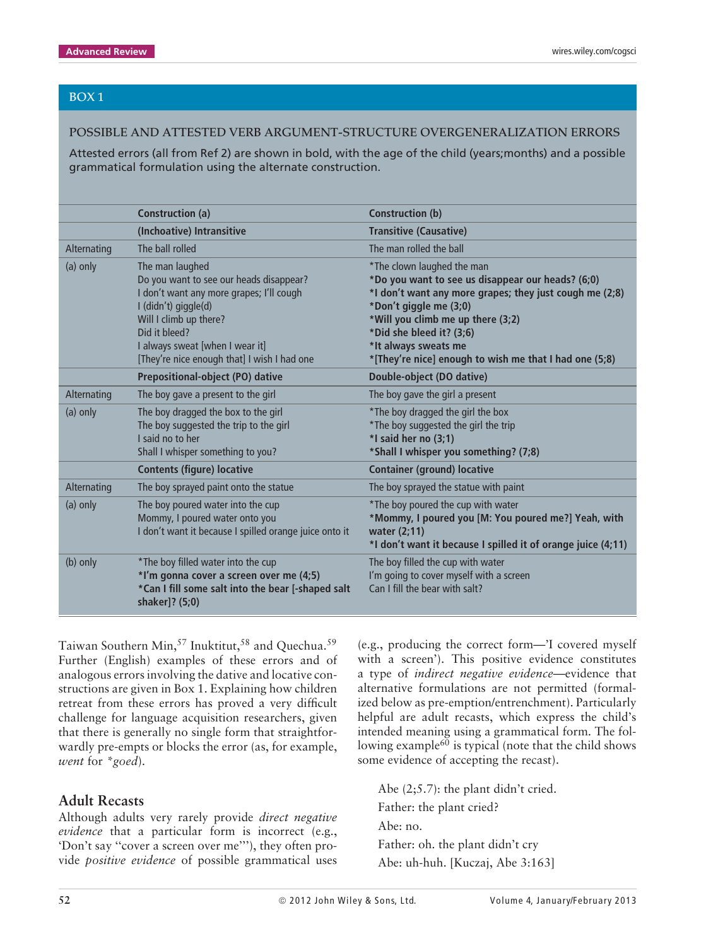## **BOX 1**

#### **POSSIBLE AND ATTESTED VERB ARGUMENT-STRUCTURE OVERGENERALIZATION ERRORS**

Attested errors (all from Ref 2) are shown in bold, with the age of the child (years;months) and a possible grammatical formulation using the alternate construction.

|             | <b>Construction (a)</b>                                          | <b>Construction (b)</b>                                                           |
|-------------|------------------------------------------------------------------|-----------------------------------------------------------------------------------|
|             | (Inchoative) Intransitive                                        | <b>Transitive (Causative)</b>                                                     |
| Alternating | The ball rolled                                                  | The man rolled the ball                                                           |
| (a) only    | The man laughed                                                  | *The clown laughed the man                                                        |
|             | Do you want to see our heads disappear?                          | *Do you want to see us disappear our heads? (6;0)                                 |
|             | I don't want any more grapes; I'll cough<br>I (didn't) giggle(d) | *I don't want any more grapes; they just cough me (2;8)<br>*Don't giggle me (3;0) |
|             | Will I climb up there?                                           | *Will you climb me up there (3;2)                                                 |
|             | Did it bleed?                                                    | *Did she bleed it? (3;6)                                                          |
|             | I always sweat [when I wear it]                                  | *It always sweats me                                                              |
|             | [They're nice enough that] I wish I had one                      | *[They're nice] enough to wish me that I had one (5;8)                            |
|             | <b>Prepositional-object (PO) dative</b>                          | Double-object (DO dative)                                                         |
| Alternating | The boy gave a present to the girl                               | The boy gave the girl a present                                                   |
| (a) only    | The boy dragged the box to the girl                              | *The boy dragged the girl the box                                                 |
|             | The boy suggested the trip to the girl                           | *The boy suggested the girl the trip                                              |
|             | I said no to her                                                 | *I said her no (3;1)                                                              |
|             | Shall I whisper something to you?                                | *Shall I whisper you something? (7;8)                                             |
|             | <b>Contents (figure) locative</b>                                | <b>Container (ground) locative</b>                                                |
| Alternating | The boy sprayed paint onto the statue                            | The boy sprayed the statue with paint                                             |
| (a) only    | The boy poured water into the cup                                | *The boy poured the cup with water                                                |
|             | Mommy, I poured water onto you                                   | *Mommy, I poured you [M: You poured me?] Yeah, with                               |
|             | I don't want it because I spilled orange juice onto it           | water (2;11)                                                                      |
|             |                                                                  | *I don't want it because I spilled it of orange juice (4;11)                      |
| (b) only    | *The boy filled water into the cup                               | The boy filled the cup with water                                                 |
|             | *I'm gonna cover a screen over me (4;5)                          | I'm going to cover myself with a screen                                           |
|             | *Can I fill some salt into the bear [-shaped salt                | Can I fill the bear with salt?                                                    |
|             | shaker]? (5;0)                                                   |                                                                                   |

Taiwan Southern Min,  $57$  Inuktitut,  $58$  and Quechua.<sup>59</sup> Further (English) examples of these errors and of analogous errors involving the dative and locative constructions are given in Box 1. Explaining how children retreat from these errors has proved a very difficult challenge for language acquisition researchers, given that there is generally no single form that straightforwardly pre-empts or blocks the error (as, for example, *went* for *\*goed*).

#### **Adult Recasts**

Although adults very rarely provide *direct negative evidence* that a particular form is incorrect (e.g., 'Don't say ''cover a screen over me'''), they often provide *positive evidence* of possible grammatical uses (e.g., producing the correct form—'I covered myself with a screen'). This positive evidence constitutes a type of *indirect negative evidence*—evidence that alternative formulations are not permitted (formalized below as pre-emption/entrenchment). Particularly helpful are adult recasts, which express the child's intended meaning using a grammatical form. The following example $^{60}$  is typical (note that the child shows some evidence of accepting the recast).

Abe (2;5.7): the plant didn't cried. Father: the plant cried? Abe: no. Father: oh. the plant didn't cry Abe: uh-huh. [Kuczaj, Abe 3:163]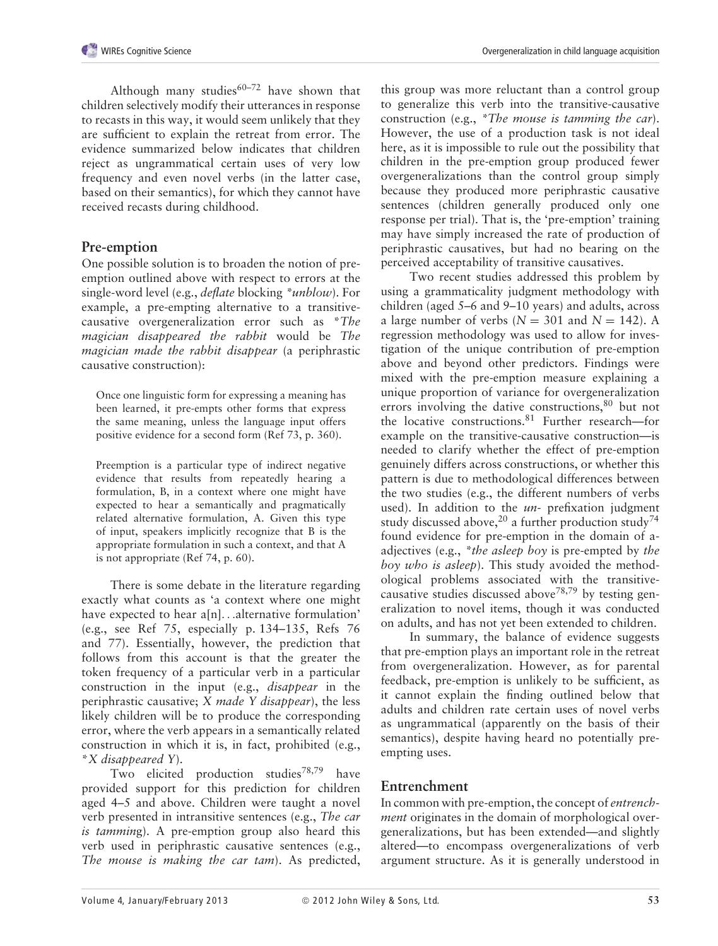Although many studies $60-72$  have shown that children selectively modify their utterances in response to recasts in this way, it would seem unlikely that they are sufficient to explain the retreat from error. The evidence summarized below indicates that children reject as ungrammatical certain uses of very low frequency and even novel verbs (in the latter case, based on their semantics), for which they cannot have received recasts during childhood.

## **Pre-emption**

One possible solution is to broaden the notion of preemption outlined above with respect to errors at the single-word level (e.g., *deflate* blocking *\*unblow*). For example, a pre-empting alternative to a transitivecausative overgeneralization error such as \**The magician disappeared the rabbit* would be *The magician made the rabbit disappear* (a periphrastic causative construction):

Once one linguistic form for expressing a meaning has been learned, it pre-empts other forms that express the same meaning, unless the language input offers positive evidence for a second form (Ref 73, p. 360).

Preemption is a particular type of indirect negative evidence that results from repeatedly hearing a formulation, B, in a context where one might have expected to hear a semantically and pragmatically related alternative formulation, A. Given this type of input, speakers implicitly recognize that B is the appropriate formulation in such a context, and that A is not appropriate (Ref 74, p. 60).

There is some debate in the literature regarding exactly what counts as 'a context where one might have expected to hear a[n]*...*alternative formulation' (e.g., see Ref 75, especially p. 134–135, Refs 76 and 77). Essentially, however, the prediction that follows from this account is that the greater the token frequency of a particular verb in a particular construction in the input (e.g., *disappear* in the periphrastic causative; *X made Y disappear*), the less likely children will be to produce the corresponding error, where the verb appears in a semantically related construction in which it is, in fact, prohibited (e.g., \**X disappeared Y*).

Two elicited production studies<sup>78,79</sup> have provided support for this prediction for children aged 4–5 and above. Children were taught a novel verb presented in intransitive sentences (e.g., *The car is tammin*g). A pre-emption group also heard this verb used in periphrastic causative sentences (e.g., *The mouse is making the car tam*). As predicted, this group was more reluctant than a control group to generalize this verb into the transitive-causative construction (e.g., *\*The mouse is tamming the car*). However, the use of a production task is not ideal here, as it is impossible to rule out the possibility that children in the pre-emption group produced fewer overgeneralizations than the control group simply because they produced more periphrastic causative sentences (children generally produced only one response per trial). That is, the 'pre-emption' training may have simply increased the rate of production of periphrastic causatives, but had no bearing on the perceived acceptability of transitive causatives.

Two recent studies addressed this problem by using a grammaticality judgment methodology with children (aged 5–6 and 9–10 years) and adults, across a large number of verbs ( $N = 301$  and  $N = 142$ ). A regression methodology was used to allow for investigation of the unique contribution of pre-emption above and beyond other predictors. Findings were mixed with the pre-emption measure explaining a unique proportion of variance for overgeneralization errors involving the dative constructions,<sup>80</sup> but not the locative constructions.81 Further research—for example on the transitive-causative construction—is needed to clarify whether the effect of pre-emption genuinely differs across constructions, or whether this pattern is due to methodological differences between the two studies (e.g., the different numbers of verbs used). In addition to the *un*- prefixation judgment study discussed above,<sup>20</sup> a further production study<sup>74</sup> found evidence for pre-emption in the domain of aadjectives (e.g., *\*the asleep boy* is pre-empted by *the boy who is asleep*). This study avoided the methodological problems associated with the transitivecausative studies discussed above<sup>78,79</sup> by testing generalization to novel items, though it was conducted on adults, and has not yet been extended to children.

In summary, the balance of evidence suggests that pre-emption plays an important role in the retreat from overgeneralization. However, as for parental feedback, pre-emption is unlikely to be sufficient, as it cannot explain the finding outlined below that adults and children rate certain uses of novel verbs as ungrammatical (apparently on the basis of their semantics), despite having heard no potentially preempting uses.

# **Entrenchment**

In common with pre-emption, the concept of *entrenchment* originates in the domain of morphological overgeneralizations, but has been extended—and slightly altered—to encompass overgeneralizations of verb argument structure. As it is generally understood in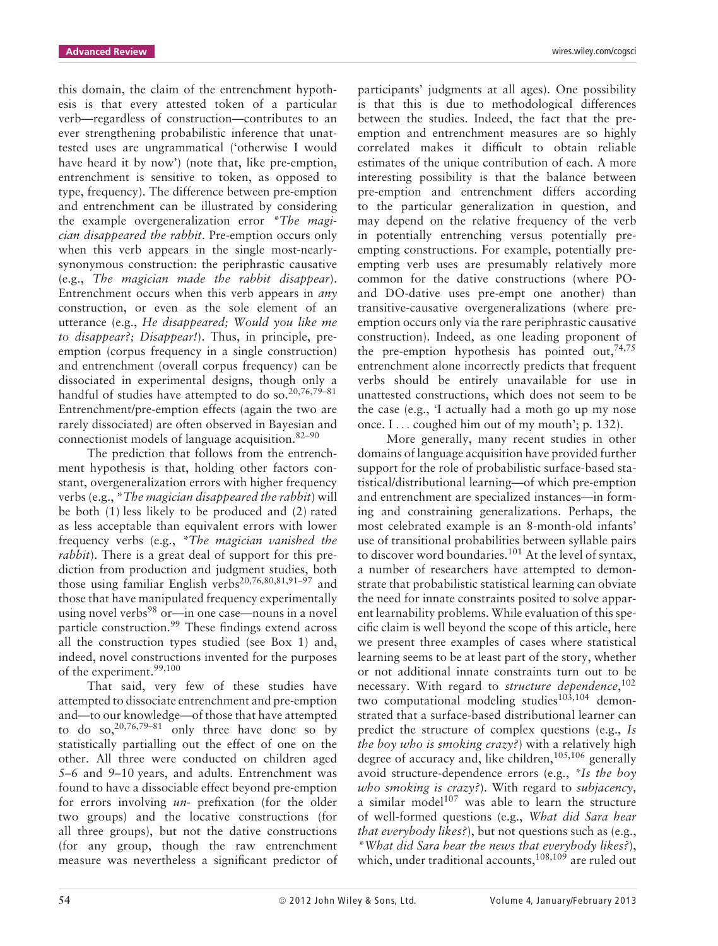this domain, the claim of the entrenchment hypothesis is that every attested token of a particular verb—regardless of construction—contributes to an ever strengthening probabilistic inference that unattested uses are ungrammatical ('otherwise I would have heard it by now') (note that, like pre-emption, entrenchment is sensitive to token, as opposed to type, frequency). The difference between pre-emption and entrenchment can be illustrated by considering the example overgeneralization error *\*The magician disappeared the rabbit*. Pre-emption occurs only when this verb appears in the single most-nearlysynonymous construction: the periphrastic causative (e.g., *The magician made the rabbit disappear*). Entrenchment occurs when this verb appears in *any* construction, or even as the sole element of an utterance (e.g., *He disappeared; Would you like me to disappear?; Disappear!*). Thus, in principle, preemption (corpus frequency in a single construction) and entrenchment (overall corpus frequency) can be dissociated in experimental designs, though only a handful of studies have attempted to do so.  $20,76,79-81$ Entrenchment/pre-emption effects (again the two are rarely dissociated) are often observed in Bayesian and connectionist models of language acquisition. $82-90$ 

The prediction that follows from the entrenchment hypothesis is that, holding other factors constant, overgeneralization errors with higher frequency verbs (e.g., \**The magician disappeared the rabbit*) will be both (1) less likely to be produced and (2) rated as less acceptable than equivalent errors with lower frequency verbs (e.g., *\*The magician vanished the rabbit*). There is a great deal of support for this prediction from production and judgment studies, both those using familiar English verbs<sup>20,76,80,81,91-97</sup> and those that have manipulated frequency experimentally using novel verbs<sup>98</sup> or—in one case—nouns in a novel particle construction.<sup>99</sup> These findings extend across all the construction types studied (see Box 1) and, indeed, novel constructions invented for the purposes of the experiment.<sup>99,100</sup>

That said, very few of these studies have attempted to dissociate entrenchment and pre-emption and—to our knowledge—of those that have attempted to do so,20,76,79–81 only three have done so by statistically partialling out the effect of one on the other. All three were conducted on children aged 5–6 and 9–10 years, and adults. Entrenchment was found to have a dissociable effect beyond pre-emption for errors involving *un*- prefixation (for the older two groups) and the locative constructions (for all three groups), but not the dative constructions (for any group, though the raw entrenchment measure was nevertheless a significant predictor of

participants' judgments at all ages). One possibility is that this is due to methodological differences between the studies. Indeed, the fact that the preemption and entrenchment measures are so highly correlated makes it difficult to obtain reliable estimates of the unique contribution of each. A more interesting possibility is that the balance between pre-emption and entrenchment differs according to the particular generalization in question, and may depend on the relative frequency of the verb in potentially entrenching versus potentially preempting constructions. For example, potentially preempting verb uses are presumably relatively more common for the dative constructions (where POand DO-dative uses pre-empt one another) than transitive-causative overgeneralizations (where preemption occurs only via the rare periphrastic causative construction). Indeed, as one leading proponent of the pre-emption hypothesis has pointed out,  $74,75$ entrenchment alone incorrectly predicts that frequent verbs should be entirely unavailable for use in unattested constructions, which does not seem to be the case (e.g., 'I actually had a moth go up my nose once. I *...* coughed him out of my mouth'; p. 132).

More generally, many recent studies in other domains of language acquisition have provided further support for the role of probabilistic surface-based statistical/distributional learning—of which pre-emption and entrenchment are specialized instances—in forming and constraining generalizations. Perhaps, the most celebrated example is an 8-month-old infants' use of transitional probabilities between syllable pairs to discover word boundaries.<sup>101</sup> At the level of syntax, a number of researchers have attempted to demonstrate that probabilistic statistical learning can obviate the need for innate constraints posited to solve apparent learnability problems. While evaluation of this specific claim is well beyond the scope of this article, here we present three examples of cases where statistical learning seems to be at least part of the story, whether or not additional innate constraints turn out to be necessary. With regard to *structure dependence*, 102 two computational modeling studies $103,104$  demonstrated that a surface-based distributional learner can predict the structure of complex questions (e.g., *Is the boy who is smoking crazy?*) with a relatively high degree of accuracy and, like children,  $105,106$  generally avoid structure-dependence errors (e.g., *\*Is the boy who smoking is crazy?*). With regard to *subjacency,* a similar model $107$  was able to learn the structure of well-formed questions (e.g., *What did Sara hear that everybody likes?*), but not questions such as (e.g., *\*What did Sara hear the news that everybody likes?*), which, under traditional accounts,<sup>108,109</sup> are ruled out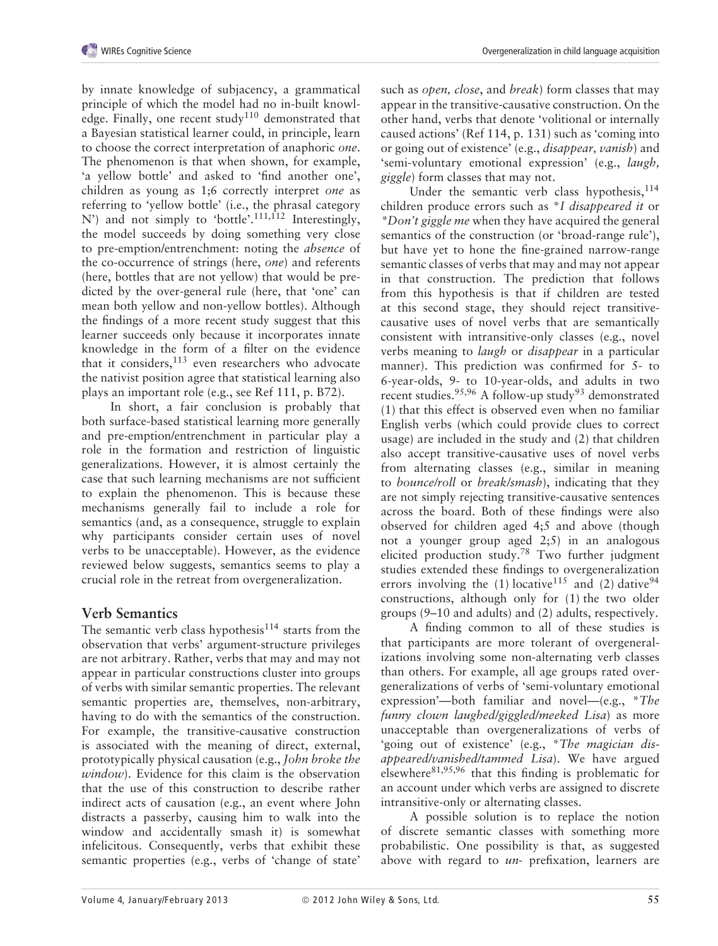by innate knowledge of subjacency, a grammatical principle of which the model had no in-built knowledge. Finally, one recent study<sup>110</sup> demonstrated that a Bayesian statistical learner could, in principle, learn to choose the correct interpretation of anaphoric *one*. The phenomenon is that when shown, for example, 'a yellow bottle' and asked to 'find another one', children as young as 1;6 correctly interpret *one* as referring to 'yellow bottle' (i.e., the phrasal category N') and not simply to 'bottle'.<sup>111,112</sup> Interestingly, the model succeeds by doing something very close to pre-emption/entrenchment: noting the *absence* of the co-occurrence of strings (here, *one*) and referents (here, bottles that are not yellow) that would be predicted by the over-general rule (here, that 'one' can mean both yellow and non-yellow bottles). Although the findings of a more recent study suggest that this learner succeeds only because it incorporates innate knowledge in the form of a filter on the evidence that it considers,  $113$  even researchers who advocate the nativist position agree that statistical learning also plays an important role (e.g., see Ref 111, p. B72).

In short, a fair conclusion is probably that both surface-based statistical learning more generally and pre-emption/entrenchment in particular play a role in the formation and restriction of linguistic generalizations. However, it is almost certainly the case that such learning mechanisms are not sufficient to explain the phenomenon. This is because these mechanisms generally fail to include a role for semantics (and, as a consequence, struggle to explain why participants consider certain uses of novel verbs to be unacceptable). However, as the evidence reviewed below suggests, semantics seems to play a crucial role in the retreat from overgeneralization.

# **Verb Semantics**

The semantic verb class hypothesis<sup>114</sup> starts from the observation that verbs' argument-structure privileges are not arbitrary. Rather, verbs that may and may not appear in particular constructions cluster into groups of verbs with similar semantic properties. The relevant semantic properties are, themselves, non-arbitrary, having to do with the semantics of the construction. For example, the transitive-causative construction is associated with the meaning of direct, external, prototypically physical causation (e.g., *John broke the window*). Evidence for this claim is the observation that the use of this construction to describe rather indirect acts of causation (e.g., an event where John distracts a passerby, causing him to walk into the window and accidentally smash it) is somewhat infelicitous. Consequently, verbs that exhibit these semantic properties (e.g., verbs of 'change of state'

such as *open, close*, and *break*) form classes that may appear in the transitive-causative construction. On the other hand, verbs that denote 'volitional or internally caused actions' (Ref 114, p. 131) such as 'coming into or going out of existence' (e.g., *disappear, vanish*) and 'semi-voluntary emotional expression' (e.g., *laugh, giggle*) form classes that may not.

Under the semantic verb class hypothesis,  $114$ children produce errors such as \**I disappeared it* or *\*Don't giggle me* when they have acquired the general semantics of the construction (or 'broad-range rule'), but have yet to hone the fine-grained narrow-range semantic classes of verbs that may and may not appear in that construction. The prediction that follows from this hypothesis is that if children are tested at this second stage, they should reject transitivecausative uses of novel verbs that are semantically consistent with intransitive-only classes (e.g., novel verbs meaning to *laugh* or *disappear* in a particular manner). This prediction was confirmed for 5- to 6-year-olds, 9- to 10-year-olds, and adults in two recent studies.<sup>95,96</sup> A follow-up study<sup>93</sup> demonstrated (1) that this effect is observed even when no familiar English verbs (which could provide clues to correct usage) are included in the study and (2) that children also accept transitive-causative uses of novel verbs from alternating classes (e.g., similar in meaning to *bounce/roll* or *break/smash*), indicating that they are not simply rejecting transitive-causative sentences across the board. Both of these findings were also observed for children aged 4;5 and above (though not a younger group aged 2;5) in an analogous elicited production study.<sup>78</sup> Two further judgment studies extended these findings to overgeneralization errors involving the  $(1)$  locative<sup>115</sup> and  $(2)$  dative<sup>94</sup> constructions, although only for (1) the two older groups (9–10 and adults) and (2) adults, respectively.

A finding common to all of these studies is that participants are more tolerant of overgeneralizations involving some non-alternating verb classes than others. For example, all age groups rated overgeneralizations of verbs of 'semi-voluntary emotional expression'—both familiar and novel—(e.g., \**The funny clown laughed/giggled/meeked Lisa*) as more unacceptable than overgeneralizations of verbs of 'going out of existence' (e.g., \**The magician disappeared/vanished/tammed Lisa*). We have argued elsewhere $81,95,96$  that this finding is problematic for an account under which verbs are assigned to discrete intransitive-only or alternating classes.

A possible solution is to replace the notion of discrete semantic classes with something more probabilistic. One possibility is that, as suggested above with regard to *un*- prefixation, learners are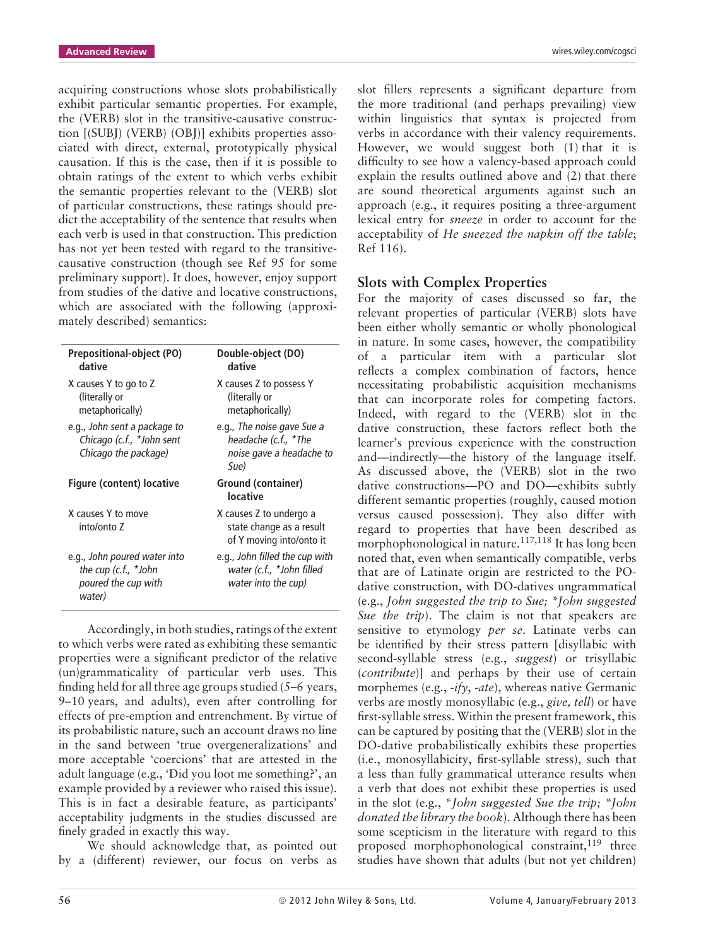acquiring constructions whose slots probabilistically exhibit particular semantic properties. For example, the (VERB) slot in the transitive-causative construction [(SUBJ) (VERB) (OBJ)] exhibits properties associated with direct, external, prototypically physical causation. If this is the case, then if it is possible to obtain ratings of the extent to which verbs exhibit the semantic properties relevant to the (VERB) slot of particular constructions, these ratings should predict the acceptability of the sentence that results when each verb is used in that construction. This prediction has not yet been tested with regard to the transitivecausative construction (though see Ref 95 for some preliminary support). It does, however, enjoy support from studies of the dative and locative constructions, which are associated with the following (approximately described) semantics:

| Prepositional-object (PO)<br>dative                                                      | Double-object (DO)<br>dative                                                           |
|------------------------------------------------------------------------------------------|----------------------------------------------------------------------------------------|
| X causes Y to go to Z<br>(literally or<br>metaphorically)                                | X causes Z to possess Y<br>(literally or<br>metaphorically)                            |
| e.g., John sent a package to<br>Chicago (c.f., *John sent<br>Chicago the package)        | e.g., The noise gave Sue a<br>headache (c.f., *The<br>noise gave a headache to<br>Sue) |
| Figure (content) locative                                                                | Ground (container)<br><b>locative</b>                                                  |
| X causes Y to move<br>into/onto Z                                                        | X causes Z to undergo a<br>state change as a result<br>of Y moving into/onto it        |
| e.g., John poured water into<br>the cup (c.f., $*$ John<br>poured the cup with<br>water) | e.g., John filled the cup with<br>water (c.f., *John filled<br>water into the cup)     |

Accordingly, in both studies, ratings of the extent to which verbs were rated as exhibiting these semantic properties were a significant predictor of the relative (un)grammaticality of particular verb uses. This finding held for all three age groups studied (5–6 years, 9–10 years, and adults), even after controlling for effects of pre-emption and entrenchment. By virtue of its probabilistic nature, such an account draws no line in the sand between 'true overgeneralizations' and more acceptable 'coercions' that are attested in the adult language (e.g., 'Did you loot me something?', an example provided by a reviewer who raised this issue). This is in fact a desirable feature, as participants' acceptability judgments in the studies discussed are finely graded in exactly this way.

We should acknowledge that, as pointed out by a (different) reviewer, our focus on verbs as slot fillers represents a significant departure from the more traditional (and perhaps prevailing) view within linguistics that syntax is projected from verbs in accordance with their valency requirements. However, we would suggest both (1) that it is difficulty to see how a valency-based approach could explain the results outlined above and (2) that there are sound theoretical arguments against such an approach (e.g., it requires positing a three-argument lexical entry for *sneeze* in order to account for the acceptability of *He sneezed the napkin off the table*; Ref 116).

#### **Slots with Complex Properties**

For the majority of cases discussed so far, the relevant properties of particular (VERB) slots have been either wholly semantic or wholly phonological in nature. In some cases, however, the compatibility of a particular item with a particular slot reflects a complex combination of factors, hence necessitating probabilistic acquisition mechanisms that can incorporate roles for competing factors. Indeed, with regard to the (VERB) slot in the dative construction, these factors reflect both the learner's previous experience with the construction and—indirectly—the history of the language itself. As discussed above, the (VERB) slot in the two dative constructions—PO and DO—exhibits subtly different semantic properties (roughly, caused motion versus caused possession). They also differ with regard to properties that have been described as morphophonological in nature.<sup>117,118</sup> It has long been noted that, even when semantically compatible, verbs that are of Latinate origin are restricted to the POdative construction, with DO-datives ungrammatical (e.g., *John suggested the trip to Sue; \*John suggested Sue the trip*). The claim is not that speakers are sensitive to etymology *per se*. Latinate verbs can be identified by their stress pattern [disyllabic with second-syllable stress (e.g., *suggest*) or trisyllabic (*contribute*)] and perhaps by their use of certain morphemes (e.g., *-ify*, *-ate*), whereas native Germanic verbs are mostly monosyllabic (e.g., *give, tell*) or have first-syllable stress. Within the present framework, this can be captured by positing that the (VERB) slot in the DO-dative probabilistically exhibits these properties (i.e., monosyllabicity, first-syllable stress), such that a less than fully grammatical utterance results when a verb that does not exhibit these properties is used in the slot (e.g., \**John suggested Sue the trip; \*John donated the library the book*). Although there has been some scepticism in the literature with regard to this proposed morphophonological constraint, $119$  three studies have shown that adults (but not yet children)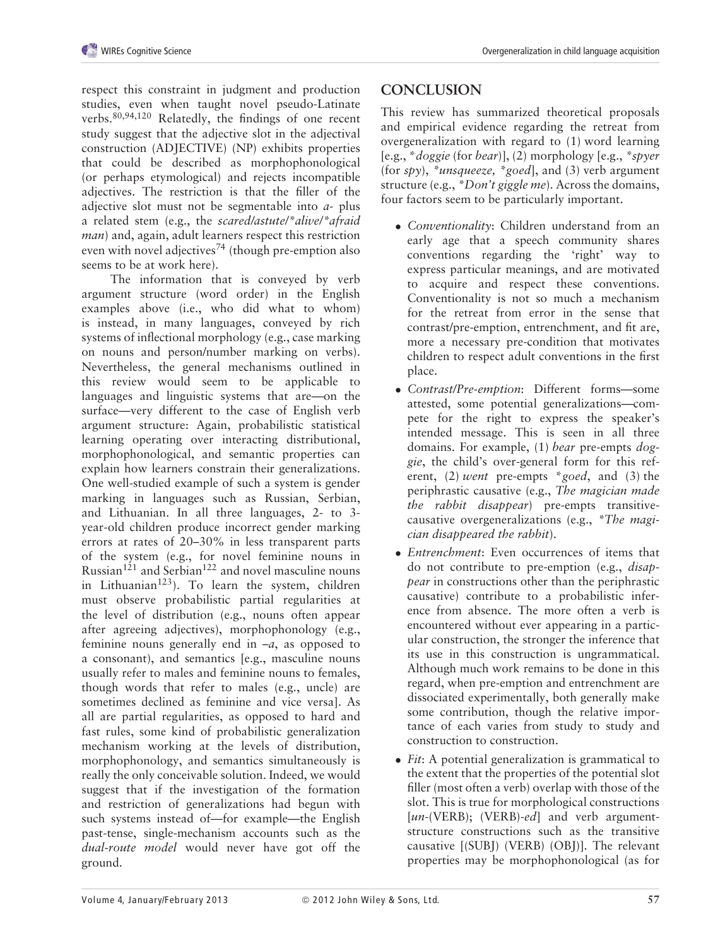respect this constraint in judgment and production studies, even when taught novel pseudo-Latinate verbs.80,94,120 Relatedly, the findings of one recent study suggest that the adjective slot in the adjectival construction (ADJECTIVE) (NP) exhibits properties that could be described as morphophonological (or perhaps etymological) and rejects incompatible adjectives. The restriction is that the filler of the adjective slot must not be segmentable into *a*- plus a related stem (e.g., the *scared/astute/\*alive/\*afraid man*) and, again, adult learners respect this restriction even with novel adjectives<sup>74</sup> (though pre-emption also seems to be at work here).

The information that is conveyed by verb argument structure (word order) in the English examples above (i.e., who did what to whom) is instead, in many languages, conveyed by rich systems of inflectional morphology (e.g., case marking on nouns and person/number marking on verbs). Nevertheless, the general mechanisms outlined in this review would seem to be applicable to languages and linguistic systems that are—on the surface—very different to the case of English verb argument structure: Again, probabilistic statistical learning operating over interacting distributional, morphophonological, and semantic properties can explain how learners constrain their generalizations. One well-studied example of such a system is gender marking in languages such as Russian, Serbian, and Lithuanian. In all three languages, 2- to 3 year-old children produce incorrect gender marking errors at rates of 20–30% in less transparent parts of the system (e.g., for novel feminine nouns in Russian121 and Serbian122 and novel masculine nouns in Lithuanian<sup>123</sup>). To learn the system, children must observe probabilistic partial regularities at the level of distribution (e.g., nouns often appear after agreeing adjectives), morphophonology (e.g., feminine nouns generally end in  $-a$ , as opposed to a consonant), and semantics [e.g., masculine nouns usually refer to males and feminine nouns to females, though words that refer to males (e.g., uncle) are sometimes declined as feminine and vice versa]. As all are partial regularities, as opposed to hard and fast rules, some kind of probabilistic generalization mechanism working at the levels of distribution, morphophonology, and semantics simultaneously is really the only conceivable solution. Indeed, we would suggest that if the investigation of the formation and restriction of generalizations had begun with such systems instead of—for example—the English past-tense, single-mechanism accounts such as the *dual-route model* would never have got off the ground.

# **CONCLUSION**

This review has summarized theoretical proposals and empirical evidence regarding the retreat from overgeneralization with regard to (1) word learning [e.g., \**doggie* (for *bear*)], (2) morphology [e.g., *\*spyer* (for *spy*), *\*unsqueeze, \*goed*], and (3) verb argument structure (e.g., *\*Don't giggle me*). Across the domains, four factors seem to be particularly important.

- *Conventionality*: Children understand from an early age that a speech community shares conventions regarding the 'right' way to express particular meanings, and are motivated to acquire and respect these conventions. Conventionality is not so much a mechanism for the retreat from error in the sense that contrast/pre-emption, entrenchment, and fit are, more a necessary pre-condition that motivates children to respect adult conventions in the first place.
- *Contrast/Pre-emption*: Different forms—some attested, some potential generalizations—compete for the right to express the speaker's intended message. This is seen in all three domains. For example, (1) *bear* pre-empts *doggie*, the child's over-general form for this referent, (2) *went* pre-empts \**goed*, and (3) the periphrastic causative (e.g., *The magician made the rabbit disappear*) pre-empts transitivecausative overgeneralizations (e.g., *\*The magician disappeared the rabbit*).
- *Entrenchment*: Even occurrences of items that do not contribute to pre-emption (e.g., *disappear* in constructions other than the periphrastic causative) contribute to a probabilistic inference from absence. The more often a verb is encountered without ever appearing in a particular construction, the stronger the inference that its use in this construction is ungrammatical. Although much work remains to be done in this regard, when pre-emption and entrenchment are dissociated experimentally, both generally make some contribution, though the relative importance of each varies from study to study and construction to construction.
- *Fit*: A potential generalization is grammatical to the extent that the properties of the potential slot filler (most often a verb) overlap with those of the slot. This is true for morphological constructions [*un*-(VERB); (VERB)-ed] and verb argumentstructure constructions such as the transitive causative [(SUBJ) (VERB) (OBJ)]. The relevant properties may be morphophonological (as for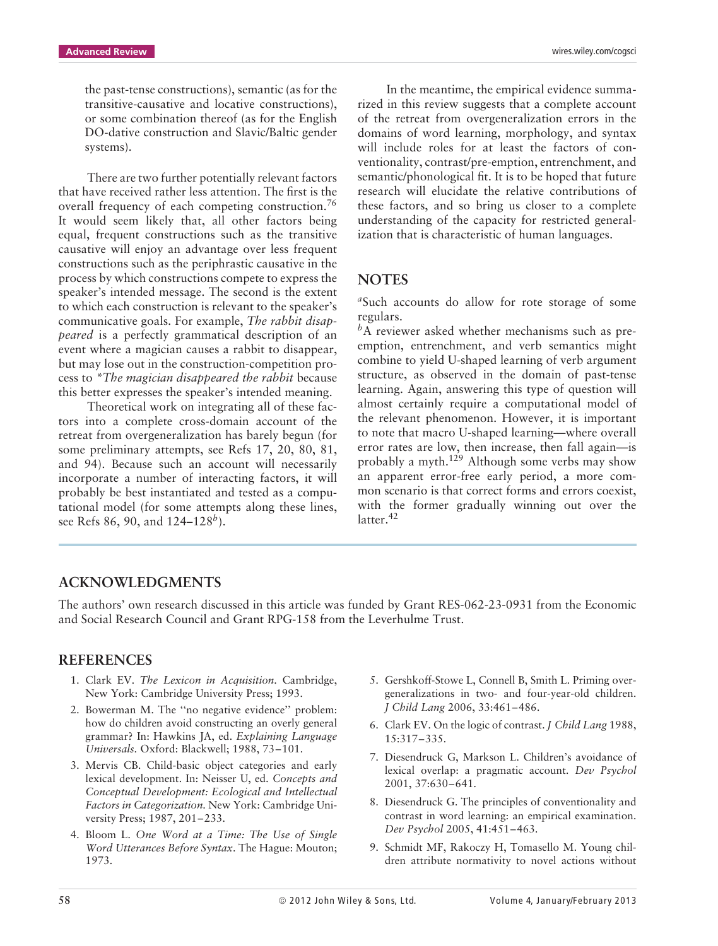the past-tense constructions), semantic (as for the transitive-causative and locative constructions), or some combination thereof (as for the English DO-dative construction and Slavic/Baltic gender systems).

There are two further potentially relevant factors that have received rather less attention. The first is the overall frequency of each competing construction.<sup>76</sup> It would seem likely that, all other factors being equal, frequent constructions such as the transitive causative will enjoy an advantage over less frequent constructions such as the periphrastic causative in the process by which constructions compete to express the speaker's intended message. The second is the extent to which each construction is relevant to the speaker's communicative goals. For example, *The rabbit disappeared* is a perfectly grammatical description of an event where a magician causes a rabbit to disappear, but may lose out in the construction-competition process to *\*The magician disappeared the rabbit* because this better expresses the speaker's intended meaning.

Theoretical work on integrating all of these factors into a complete cross-domain account of the retreat from overgeneralization has barely begun (for some preliminary attempts, see Refs 17, 20, 80, 81, and 94). Because such an account will necessarily incorporate a number of interacting factors, it will probably be best instantiated and tested as a computational model (for some attempts along these lines, see Refs 86, 90, and 124–128*b*).

In the meantime, the empirical evidence summarized in this review suggests that a complete account of the retreat from overgeneralization errors in the domains of word learning, morphology, and syntax will include roles for at least the factors of conventionality, contrast/pre-emption, entrenchment, and semantic/phonological fit. It is to be hoped that future research will elucidate the relative contributions of these factors, and so bring us closer to a complete understanding of the capacity for restricted generalization that is characteristic of human languages.

#### **NOTES**

<sup>a</sup>Such accounts do allow for rote storage of some regulars.

*<sup>b</sup>*A reviewer asked whether mechanisms such as preemption, entrenchment, and verb semantics might combine to yield U-shaped learning of verb argument structure, as observed in the domain of past-tense learning. Again, answering this type of question will almost certainly require a computational model of the relevant phenomenon. However, it is important to note that macro U-shaped learning—where overall error rates are low, then increase, then fall again—is probably a myth.129 Although some verbs may show an apparent error-free early period, a more common scenario is that correct forms and errors coexist, with the former gradually winning out over the latter.<sup>42</sup>

## **ACKNOWLEDGMENTS**

The authors' own research discussed in this article was funded by Grant RES-062-23-0931 from the Economic and Social Research Council and Grant RPG-158 from the Leverhulme Trust.

#### **REFERENCES**

- 1. Clark EV. *The Lexicon in Acquisition.* Cambridge, New York: Cambridge University Press; 1993.
- 2. Bowerman M. The ''no negative evidence'' problem: how do children avoid constructing an overly general grammar? In: Hawkins JA, ed. *Explaining Language Universals.* Oxford: Blackwell; 1988, 73–101.
- 3. Mervis CB. Child-basic object categories and early lexical development. In: Neisser U, ed. *Concepts and Conceptual Development: Ecological and Intellectual Factors in Categorization.* New York: Cambridge University Press; 1987, 201–233.
- 4. Bloom L. *One Word at a Time: The Use of Single Word Utterances Before Syntax.* The Hague: Mouton; 1973.
- 5. Gershkoff-Stowe L, Connell B, Smith L. Priming overgeneralizations in two- and four-year-old children. *J Child Lang* 2006, 33:461–486.
- 6. Clark EV. On the logic of contrast. *J Child Lang* 1988, 15:317–335.
- 7. Diesendruck G, Markson L. Children's avoidance of lexical overlap: a pragmatic account. *Dev Psychol* 2001, 37:630–641.
- 8. Diesendruck G. The principles of conventionality and contrast in word learning: an empirical examination. *Dev Psychol* 2005, 41:451–463.
- 9. Schmidt MF, Rakoczy H, Tomasello M. Young children attribute normativity to novel actions without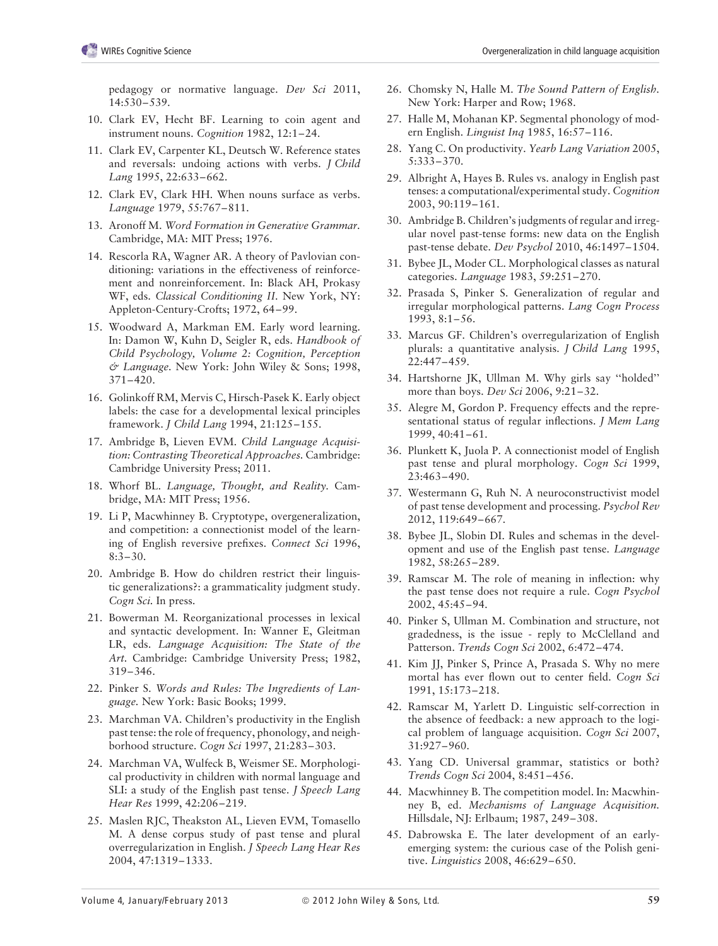pedagogy or normative language. *Dev Sci* 2011, 14:530–539.

- 10. Clark EV, Hecht BF. Learning to coin agent and instrument nouns. *Cognition* 1982, 12:1–24.
- 11. Clark EV, Carpenter KL, Deutsch W. Reference states and reversals: undoing actions with verbs. *J Child Lang* 1995, 22:633–662.
- 12. Clark EV, Clark HH. When nouns surface as verbs. *Language* 1979, 55:767–811.
- 13. Aronoff M. *Word Formation in Generative Grammar.* Cambridge, MA: MIT Press; 1976.
- 14. Rescorla RA, Wagner AR. A theory of Pavlovian conditioning: variations in the effectiveness of reinforcement and nonreinforcement. In: Black AH, Prokasy WF, eds. *Classical Conditioning II.* New York, NY: Appleton-Century-Crofts; 1972, 64–99.
- 15. Woodward A, Markman EM. Early word learning. In: Damon W, Kuhn D, Seigler R, eds. *Handbook of Child Psychology, Volume 2: Cognition, Perception & Language.* New York: John Wiley & Sons; 1998, 371–420.
- 16. Golinkoff RM, Mervis C, Hirsch-Pasek K. Early object labels: the case for a developmental lexical principles framework. *J Child Lang* 1994, 21:125–155.
- 17. Ambridge B, Lieven EVM. *Child Language Acquisition: Contrasting Theoretical Approaches.* Cambridge: Cambridge University Press; 2011.
- 18. Whorf BL. *Language, Thought, and Reality.* Cambridge, MA: MIT Press; 1956.
- 19. Li P, Macwhinney B. Cryptotype, overgeneralization, and competition: a connectionist model of the learning of English reversive prefixes. *Connect Sci* 1996, 8:3–30.
- 20. Ambridge B. How do children restrict their linguistic generalizations?: a grammaticality judgment study. *Cogn Sci.* In press.
- 21. Bowerman M. Reorganizational processes in lexical and syntactic development. In: Wanner E, Gleitman LR, eds. *Language Acquisition: The State of the Art.* Cambridge: Cambridge University Press; 1982, 319–346.
- 22. Pinker S. *Words and Rules: The Ingredients of Language.* New York: Basic Books; 1999.
- 23. Marchman VA. Children's productivity in the English past tense: the role of frequency, phonology, and neighborhood structure. *Cogn Sci* 1997, 21:283–303.
- 24. Marchman VA, Wulfeck B, Weismer SE. Morphological productivity in children with normal language and SLI: a study of the English past tense. *J Speech Lang Hear Res* 1999, 42:206–219.
- 25. Maslen RJC, Theakston AL, Lieven EVM, Tomasello M. A dense corpus study of past tense and plural overregularization in English. *J Speech Lang Hear Res* 2004, 47:1319–1333.
- 26. Chomsky N, Halle M. *The Sound Pattern of English.* New York: Harper and Row; 1968.
- 27. Halle M, Mohanan KP. Segmental phonology of modern English. *Linguist Inq* 1985, 16:57–116.
- 28. Yang C. On productivity. *Yearb Lang Variation* 2005, 5:333–370.
- 29. Albright A, Hayes B. Rules vs. analogy in English past tenses: a computational/experimental study. *Cognition* 2003, 90:119–161.
- 30. Ambridge B. Children's judgments of regular and irregular novel past-tense forms: new data on the English past-tense debate. *Dev Psychol* 2010, 46:1497–1504.
- 31. Bybee JL, Moder CL. Morphological classes as natural categories. *Language* 1983, 59:251–270.
- 32. Prasada S, Pinker S. Generalization of regular and irregular morphological patterns. *Lang Cogn Process* 1993, 8:1–56.
- 33. Marcus GF. Children's overregularization of English plurals: a quantitative analysis. *J Child Lang* 1995, 22:447–459.
- 34. Hartshorne JK, Ullman M. Why girls say ''holded'' more than boys. *Dev Sci* 2006, 9:21–32.
- 35. Alegre M, Gordon P. Frequency effects and the representational status of regular inflections. *J Mem Lang* 1999, 40:41–61.
- 36. Plunkett K, Juola P. A connectionist model of English past tense and plural morphology. *Cogn Sci* 1999, 23:463–490.
- 37. Westermann G, Ruh N. A neuroconstructivist model of past tense development and processing. *Psychol Rev* 2012, 119:649–667.
- 38. Bybee JL, Slobin DI. Rules and schemas in the development and use of the English past tense. *Language* 1982, 58:265–289.
- 39. Ramscar M. The role of meaning in inflection: why the past tense does not require a rule. *Cogn Psychol* 2002, 45:45–94.
- 40. Pinker S, Ullman M. Combination and structure, not gradedness, is the issue - reply to McClelland and Patterson. *Trends Cogn Sci* 2002, 6:472–474.
- 41. Kim JJ, Pinker S, Prince A, Prasada S. Why no mere mortal has ever flown out to center field. *Cogn Sci* 1991, 15:173–218.
- 42. Ramscar M, Yarlett D. Linguistic self-correction in the absence of feedback: a new approach to the logical problem of language acquisition. *Cogn Sci* 2007, 31:927–960.
- 43. Yang CD. Universal grammar, statistics or both? *Trends Cogn Sci* 2004, 8:451–456.
- 44. Macwhinney B. The competition model. In: Macwhinney B, ed. *Mechanisms of Language Acquisition.* Hillsdale, NJ: Erlbaum; 1987, 249–308.
- 45. Dabrowska E. The later development of an earlyemerging system: the curious case of the Polish genitive. *Linguistics* 2008, 46:629–650.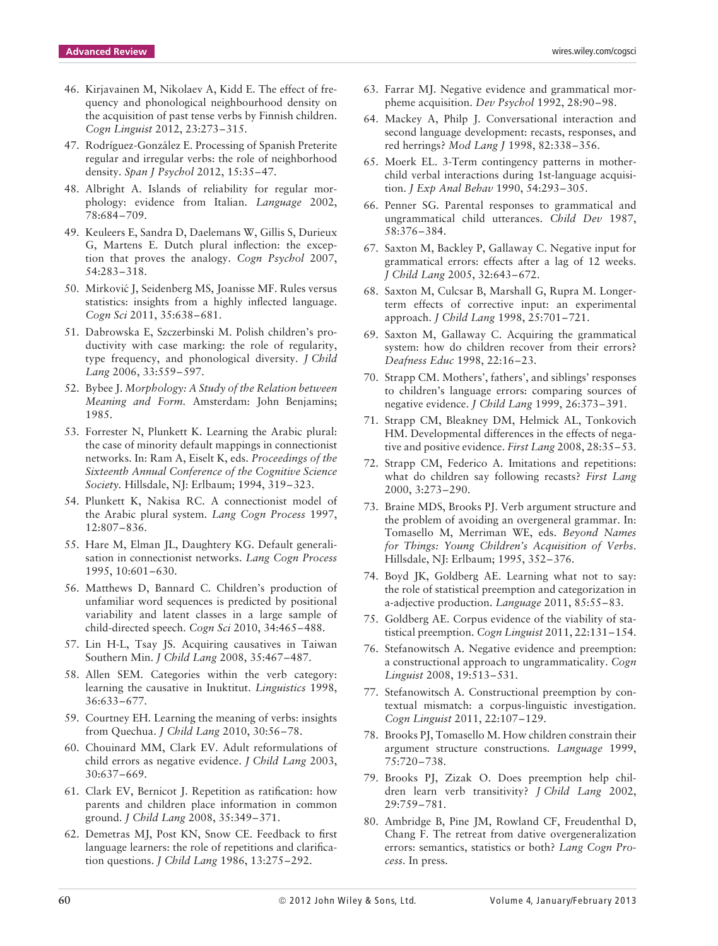- 46. Kirjavainen M, Nikolaev A, Kidd E. The effect of frequency and phonological neighbourhood density on the acquisition of past tense verbs by Finnish children. *Cogn Linguist* 2012, 23:273–315.
- 47. Rodríguez-González E. Processing of Spanish Preterite regular and irregular verbs: the role of neighborhood density. *Span J Psychol* 2012, 15:35–47.
- 48. Albright A. Islands of reliability for regular morphology: evidence from Italian. *Language* 2002, 78:684–709.
- 49. Keuleers E, Sandra D, Daelemans W, Gillis S, Durieux G, Martens E. Dutch plural inflection: the exception that proves the analogy. *Cogn Psychol* 2007, 54:283–318.
- 50. Mirkovic J, Seidenberg MS, Joanisse MF. Rules versus ´ statistics: insights from a highly inflected language. *Cogn Sci* 2011, 35:638–681.
- 51. Dabrowska E, Szczerbinski M. Polish children's productivity with case marking: the role of regularity, type frequency, and phonological diversity. *J Child Lang* 2006, 33:559–597.
- 52. Bybee J. *Morphology: A Study of the Relation between Meaning and Form.* Amsterdam: John Benjamins; 1985.
- 53. Forrester N, Plunkett K. Learning the Arabic plural: the case of minority default mappings in connectionist networks. In: Ram A, Eiselt K, eds. *Proceedings of the Sixteenth Annual Conference of the Cognitive Science Society.* Hillsdale, NJ: Erlbaum; 1994, 319–323.
- 54. Plunkett K, Nakisa RC. A connectionist model of the Arabic plural system. *Lang Cogn Process* 1997, 12:807–836.
- 55. Hare M, Elman JL, Daughtery KG. Default generalisation in connectionist networks. *Lang Cogn Process* 1995, 10:601–630.
- 56. Matthews D, Bannard C. Children's production of unfamiliar word sequences is predicted by positional variability and latent classes in a large sample of child-directed speech. *Cogn Sci* 2010, 34:465–488.
- 57. Lin H-L, Tsay JS. Acquiring causatives in Taiwan Southern Min. *J Child Lang* 2008, 35:467–487.
- 58. Allen SEM. Categories within the verb category: learning the causative in Inuktitut. *Linguistics* 1998, 36:633–677.
- 59. Courtney EH. Learning the meaning of verbs: insights from Quechua. *J Child Lang* 2010, 30:56–78.
- 60. Chouinard MM, Clark EV. Adult reformulations of child errors as negative evidence. *J Child Lang* 2003, 30:637–669.
- 61. Clark EV, Bernicot J. Repetition as ratification: how parents and children place information in common ground. *J Child Lang* 2008, 35:349–371.
- 62. Demetras MJ, Post KN, Snow CE. Feedback to first language learners: the role of repetitions and clarification questions. *J Child Lang* 1986, 13:275–292.
- 63. Farrar MJ. Negative evidence and grammatical morpheme acquisition. *Dev Psychol* 1992, 28:90–98.
- 64. Mackey A, Philp J. Conversational interaction and second language development: recasts, responses, and red herrings? *Mod Lang J* 1998, 82:338–356.
- 65. Moerk EL. 3-Term contingency patterns in motherchild verbal interactions during 1st-language acquisition. *J Exp Anal Behav* 1990, 54:293–305.
- 66. Penner SG. Parental responses to grammatical and ungrammatical child utterances. *Child Dev* 1987, 58:376–384.
- 67. Saxton M, Backley P, Gallaway C. Negative input for grammatical errors: effects after a lag of 12 weeks. *J Child Lang* 2005, 32:643–672.
- 68. Saxton M, Culcsar B, Marshall G, Rupra M. Longerterm effects of corrective input: an experimental approach. *J Child Lang* 1998, 25:701–721.
- 69. Saxton M, Gallaway C. Acquiring the grammatical system: how do children recover from their errors? *Deafness Educ* 1998, 22:16–23.
- 70. Strapp CM. Mothers', fathers', and siblings' responses to children's language errors: comparing sources of negative evidence. *J Child Lang* 1999, 26:373–391.
- 71. Strapp CM, Bleakney DM, Helmick AL, Tonkovich HM. Developmental differences in the effects of negative and positive evidence. *First Lang* 2008, 28:35–53.
- 72. Strapp CM, Federico A. Imitations and repetitions: what do children say following recasts? *First Lang* 2000, 3:273–290.
- 73. Braine MDS, Brooks PJ. Verb argument structure and the problem of avoiding an overgeneral grammar. In: Tomasello M, Merriman WE, eds. *Beyond Names for Things: Young Children's Acquisition of Verbs*. Hillsdale, NJ: Erlbaum; 1995, 352–376.
- 74. Boyd JK, Goldberg AE. Learning what not to say: the role of statistical preemption and categorization in a-adjective production. *Language* 2011, 85:55–83.
- 75. Goldberg AE. Corpus evidence of the viability of statistical preemption. *Cogn Linguist* 2011, 22:131–154.
- 76. Stefanowitsch A. Negative evidence and preemption: a constructional approach to ungrammaticality. *Cogn Linguist* 2008, 19:513–531.
- 77. Stefanowitsch A. Constructional preemption by contextual mismatch: a corpus-linguistic investigation. *Cogn Linguist* 2011, 22:107–129.
- 78. Brooks PJ, Tomasello M. How children constrain their argument structure constructions. *Language* 1999, 75:720–738.
- 79. Brooks PJ, Zizak O. Does preemption help children learn verb transitivity? *J Child Lang* 2002, 29:759–781.
- 80. Ambridge B, Pine JM, Rowland CF, Freudenthal D, Chang F. The retreat from dative overgeneralization errors: semantics, statistics or both? *Lang Cogn Process.* In press.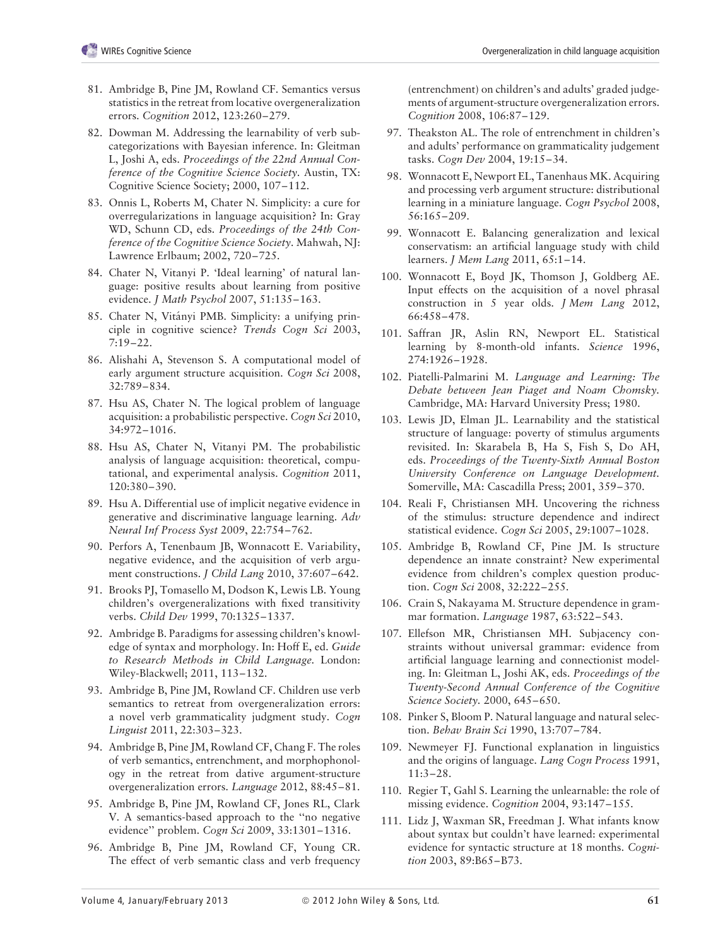- 81. Ambridge B, Pine JM, Rowland CF. Semantics versus statistics in the retreat from locative overgeneralization errors. *Cognition* 2012, 123:260–279.
- 82. Dowman M. Addressing the learnability of verb subcategorizations with Bayesian inference. In: Gleitman L, Joshi A, eds. *Proceedings of the 22nd Annual Conference of the Cognitive Science Society.* Austin, TX: Cognitive Science Society; 2000, 107–112.
- 83. Onnis L, Roberts M, Chater N. Simplicity: a cure for overregularizations in language acquisition? In: Gray WD, Schunn CD, eds. *Proceedings of the 24th Conference of the Cognitive Science Society*. Mahwah, NJ: Lawrence Erlbaum; 2002, 720–725.
- 84. Chater N, Vitanyi P. 'Ideal learning' of natural language: positive results about learning from positive evidence. *J Math Psychol* 2007, 51:135–163.
- 85. Chater N, Vitányi PMB. Simplicity: a unifying principle in cognitive science? *Trends Cogn Sci* 2003,  $7:19-22.$
- 86. Alishahi A, Stevenson S. A computational model of early argument structure acquisition. *Cogn Sci* 2008, 32:789–834.
- 87. Hsu AS, Chater N. The logical problem of language acquisition: a probabilistic perspective. *Cogn Sci* 2010, 34:972–1016.
- 88. Hsu AS, Chater N, Vitanyi PM. The probabilistic analysis of language acquisition: theoretical, computational, and experimental analysis. *Cognition* 2011, 120:380–390.
- 89. Hsu A. Differential use of implicit negative evidence in generative and discriminative language learning. *Adv Neural Inf Process Syst* 2009, 22:754–762.
- 90. Perfors A, Tenenbaum JB, Wonnacott E. Variability, negative evidence, and the acquisition of verb argument constructions. *J Child Lang* 2010, 37:607–642.
- 91. Brooks PJ, Tomasello M, Dodson K, Lewis LB. Young children's overgeneralizations with fixed transitivity verbs. *Child Dev* 1999, 70:1325–1337.
- 92. Ambridge B. Paradigms for assessing children's knowledge of syntax and morphology. In: Hoff E, ed. *Guide to Research Methods in Child Language.* London: Wiley-Blackwell; 2011, 113–132.
- 93. Ambridge B, Pine JM, Rowland CF. Children use verb semantics to retreat from overgeneralization errors: a novel verb grammaticality judgment study. *Cogn Linguist* 2011, 22:303–323.
- 94. Ambridge B, Pine JM, Rowland CF, Chang F. The roles of verb semantics, entrenchment, and morphophonology in the retreat from dative argument-structure overgeneralization errors. *Language* 2012, 88:45–81.
- 95. Ambridge B, Pine JM, Rowland CF, Jones RL, Clark V. A semantics-based approach to the ''no negative evidence'' problem. *Cogn Sci* 2009, 33:1301–1316.
- 96. Ambridge B, Pine JM, Rowland CF, Young CR. The effect of verb semantic class and verb frequency

(entrenchment) on children's and adults' graded judgements of argument-structure overgeneralization errors. *Cognition* 2008, 106:87–129.

- 97. Theakston AL. The role of entrenchment in children's and adults' performance on grammaticality judgement tasks. *Cogn Dev* 2004, 19:15–34.
- 98. Wonnacott E, Newport EL, Tanenhaus MK. Acquiring and processing verb argument structure: distributional learning in a miniature language. *Cogn Psychol* 2008, 56:165–209.
- 99. Wonnacott E. Balancing generalization and lexical conservatism: an artificial language study with child learners. *J Mem Lang* 2011, 65:1–14.
- 100. Wonnacott E, Boyd JK, Thomson J, Goldberg AE. Input effects on the acquisition of a novel phrasal construction in 5 year olds. *J Mem Lang* 2012, 66:458–478.
- 101. Saffran JR, Aslin RN, Newport EL. Statistical learning by 8-month-old infants. *Science* 1996, 274:1926–1928.
- 102. Piatelli-Palmarini M. *Language and Learning: The Debate between Jean Piaget and Noam Chomsky.* Cambridge, MA: Harvard University Press; 1980.
- 103. Lewis JD, Elman JL. Learnability and the statistical structure of language: poverty of stimulus arguments revisited. In: Skarabela B, Ha S, Fish S, Do AH, eds. *Proceedings of the Twenty-Sixth Annual Boston University Conference on Language Development.* Somerville, MA: Cascadilla Press; 2001, 359–370.
- 104. Reali F, Christiansen MH. Uncovering the richness of the stimulus: structure dependence and indirect statistical evidence. *Cogn Sci* 2005, 29:1007–1028.
- 105. Ambridge B, Rowland CF, Pine JM. Is structure dependence an innate constraint? New experimental evidence from children's complex question production. *Cogn Sci* 2008, 32:222–255.
- 106. Crain S, Nakayama M. Structure dependence in grammar formation. *Language* 1987, 63:522–543.
- 107. Ellefson MR, Christiansen MH. Subjacency constraints without universal grammar: evidence from artificial language learning and connectionist modeling. In: Gleitman L, Joshi AK, eds. *Proceedings of the Twenty-Second Annual Conference of the Cognitive Science Society.* 2000, 645–650.
- 108. Pinker S, Bloom P. Natural language and natural selection. *Behav Brain Sci* 1990, 13:707–784.
- 109. Newmeyer FJ. Functional explanation in linguistics and the origins of language. *Lang Cogn Process* 1991, 11:3–28.
- 110. Regier T, Gahl S. Learning the unlearnable: the role of missing evidence. *Cognition* 2004, 93:147–155.
- 111. Lidz J, Waxman SR, Freedman J. What infants know about syntax but couldn't have learned: experimental evidence for syntactic structure at 18 months. *Cognition* 2003, 89:B65–B73.